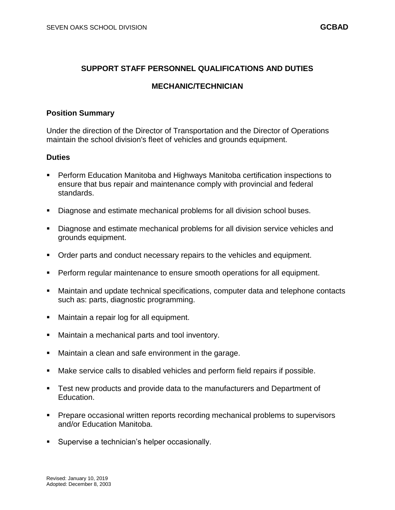# **SUPPORT STAFF PERSONNEL QUALIFICATIONS AND DUTIES**

# **MECHANIC/TECHNICIAN**

### **Position Summary**

Under the direction of the Director of Transportation and the Director of Operations maintain the school division's fleet of vehicles and grounds equipment.

#### **Duties**

- Perform Education Manitoba and Highways Manitoba certification inspections to ensure that bus repair and maintenance comply with provincial and federal standards.
- Diagnose and estimate mechanical problems for all division school buses.
- Diagnose and estimate mechanical problems for all division service vehicles and grounds equipment.
- Order parts and conduct necessary repairs to the vehicles and equipment.
- **Perform regular maintenance to ensure smooth operations for all equipment.**
- Maintain and update technical specifications, computer data and telephone contacts such as: parts, diagnostic programming.
- Maintain a repair log for all equipment.
- Maintain a mechanical parts and tool inventory.
- Maintain a clean and safe environment in the garage.
- Make service calls to disabled vehicles and perform field repairs if possible.
- Test new products and provide data to the manufacturers and Department of Education.
- **Prepare occasional written reports recording mechanical problems to supervisors** and/or Education Manitoba.
- **Supervise a technician's helper occasionally.**